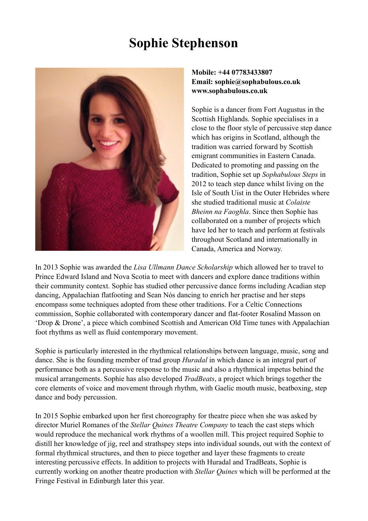# **Sophie Stephenson**



## **Mobile: +44 07783433807 Email: [sophie@sophabulous.co.uk](mailto:sophie@sophabulous.co.uk) [www.sophabulous.co.uk](http://www.sophabulous.co.uk)**

Sophie is a dancer from Fort Augustus in the Scottish Highlands. Sophie specialises in a close to the floor style of percussive step dance which has origins in Scotland, although the tradition was carried forward by Scottish emigrant communities in Eastern Canada. Dedicated to promoting and passing on the tradition, Sophie set up *Sophabulous Steps* in 2012 to teach step dance whilst living on the Isle of South Uist in the Outer Hebrides where she studied traditional music at *Colaiste Bheinn na Faoghla*. Since then Sophie has collaborated on a number of projects which have led her to teach and perform at festivals throughout Scotland and internationally in Canada, America and Norway.

In 2013 Sophie was awarded the *Lisa Ullmann Dance Scholarship* which allowed her to travel to Prince Edward Island and Nova Scotia to meet with dancers and explore dance traditions within their community context. Sophie has studied other percussive dance forms including Acadian step dancing, Appalachian flatfooting and Sean Nós dancing to enrich her practise and her steps encompass some techniques adopted from these other traditions. For a Celtic Connections commission, Sophie collaborated with contemporary dancer and flat-footer Rosalind Masson on 'Drop & Drone', a piece which combined Scottish and American Old Time tunes with Appalachian foot rhythms as well as fluid contemporary movement.

Sophie is particularly interested in the rhythmical relationships between language, music, song and dance. She is the founding member of trad group *Huradal* in which dance is an integral part of performance both as a percussive response to the music and also a rhythmical impetus behind the musical arrangements. Sophie has also developed *TradBeats*, a project which brings together the core elements of voice and movement through rhythm, with Gaelic mouth music, beatboxing, step dance and body percussion.

In 2015 Sophie embarked upon her first choreography for theatre piece when she was asked by director Muriel Romanes of the *Stellar Quines Theatre Company* to teach the cast steps which would reproduce the mechanical work rhythms of a woollen mill. This project required Sophie to distill her knowledge of jig, reel and strathspey steps into individual sounds, out with the context of formal rhythmical structures, and then to piece together and layer these fragments to create interesting percussive effects. In addition to projects with Huradal and TradBeats, Sophie is currently working on another theatre production with *Stellar Quines* which will be performed at the Fringe Festival in Edinburgh later this year.